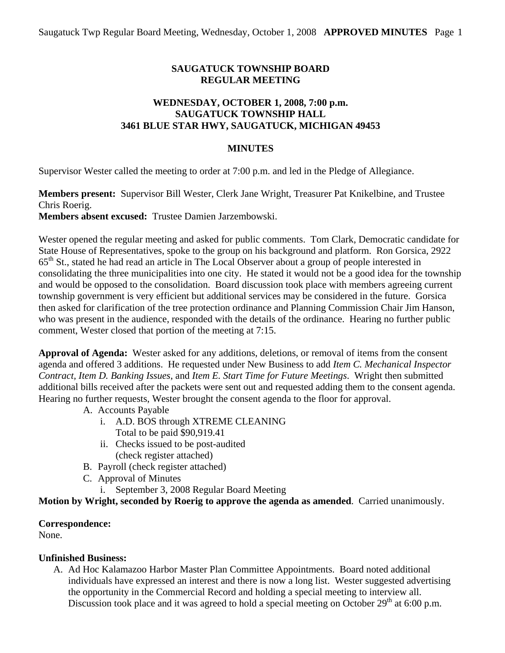# **SAUGATUCK TOWNSHIP BOARD REGULAR MEETING**

#### **WEDNESDAY, OCTOBER 1, 2008, 7:00 p.m. SAUGATUCK TOWNSHIP HALL 3461 BLUE STAR HWY, SAUGATUCK, MICHIGAN 49453**

#### **MINUTES**

Supervisor Wester called the meeting to order at 7:00 p.m. and led in the Pledge of Allegiance.

**Members present:** Supervisor Bill Wester, Clerk Jane Wright, Treasurer Pat Knikelbine, and Trustee Chris Roerig.

**Members absent excused:** Trustee Damien Jarzembowski.

Wester opened the regular meeting and asked for public comments. Tom Clark, Democratic candidate for State House of Representatives, spoke to the group on his background and platform. Ron Gorsica, 2922 65th St., stated he had read an article in The Local Observer about a group of people interested in consolidating the three municipalities into one city. He stated it would not be a good idea for the township and would be opposed to the consolidation. Board discussion took place with members agreeing current township government is very efficient but additional services may be considered in the future. Gorsica then asked for clarification of the tree protection ordinance and Planning Commission Chair Jim Hanson, who was present in the audience, responded with the details of the ordinance. Hearing no further public comment, Wester closed that portion of the meeting at 7:15.

**Approval of Agenda:** Wester asked for any additions, deletions, or removal of items from the consent agenda and offered 3 additions. He requested under New Business to add *Item C. Mechanical Inspector Contract, Item D. Banking Issues*, and *Item E. Start Time for Future Meetings*. Wright then submitted additional bills received after the packets were sent out and requested adding them to the consent agenda. Hearing no further requests, Wester brought the consent agenda to the floor for approval.

- A. Accounts Payable
	- i. A.D. BOS through XTREME CLEANING
		- Total to be paid \$90,919.41
	- ii. Checks issued to be post-audited (check register attached)
- B. Payroll (check register attached)
- C. Approval of Minutes
	- i. September 3, 2008 Regular Board Meeting

**Motion by Wright, seconded by Roerig to approve the agenda as amended**. Carried unanimously.

## **Correspondence:**

None.

## **Unfinished Business:**

A. Ad Hoc Kalamazoo Harbor Master Plan Committee Appointments. Board noted additional individuals have expressed an interest and there is now a long list. Wester suggested advertising the opportunity in the Commercial Record and holding a special meeting to interview all. Discussion took place and it was agreed to hold a special meeting on October  $29<sup>th</sup>$  at 6:00 p.m.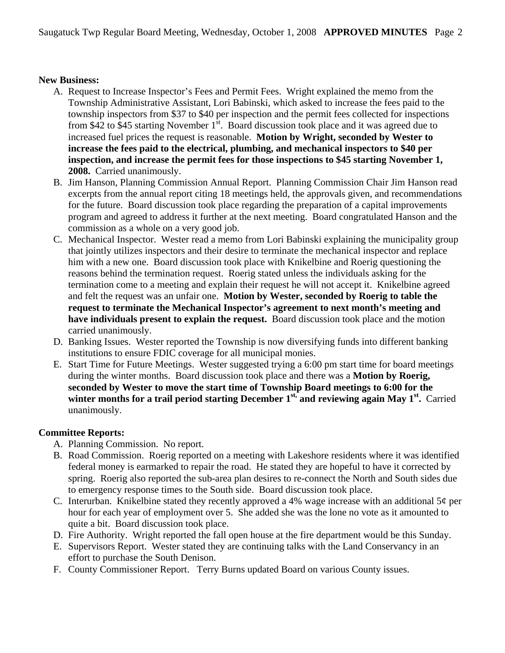#### **New Business:**

- A. Request to Increase Inspector's Fees and Permit Fees. Wright explained the memo from the Township Administrative Assistant, Lori Babinski, which asked to increase the fees paid to the township inspectors from \$37 to \$40 per inspection and the permit fees collected for inspections from \$42 to \$45 starting November  $1<sup>st</sup>$ . Board discussion took place and it was agreed due to increased fuel prices the request is reasonable. **Motion by Wright, seconded by Wester to increase the fees paid to the electrical, plumbing, and mechanical inspectors to \$40 per inspection, and increase the permit fees for those inspections to \$45 starting November 1, 2008.** Carried unanimously.
- B. Jim Hanson, Planning Commission Annual Report. Planning Commission Chair Jim Hanson read excerpts from the annual report citing 18 meetings held, the approvals given, and recommendations for the future. Board discussion took place regarding the preparation of a capital improvements program and agreed to address it further at the next meeting. Board congratulated Hanson and the commission as a whole on a very good job.
- C. Mechanical Inspector. Wester read a memo from Lori Babinski explaining the municipality group that jointly utilizes inspectors and their desire to terminate the mechanical inspector and replace him with a new one. Board discussion took place with Knikelbine and Roerig questioning the reasons behind the termination request. Roerig stated unless the individuals asking for the termination come to a meeting and explain their request he will not accept it. Knikelbine agreed and felt the request was an unfair one. **Motion by Wester, seconded by Roerig to table the request to terminate the Mechanical Inspector's agreement to next month's meeting and have individuals present to explain the request.** Board discussion took place and the motion carried unanimously.
- D. Banking Issues. Wester reported the Township is now diversifying funds into different banking institutions to ensure FDIC coverage for all municipal monies.
- E. Start Time for Future Meetings. Wester suggested trying a 6:00 pm start time for board meetings during the winter months. Board discussion took place and there was a **Motion by Roerig, seconded by Wester to move the start time of Township Board meetings to 6:00 for the**  winter months for a trail period starting December 1<sup>st,</sup> and reviewing again May 1<sup>st</sup>. Carried unanimously.

## **Committee Reports:**

- A. Planning Commission. No report.
- B. Road Commission. Roerig reported on a meeting with Lakeshore residents where it was identified federal money is earmarked to repair the road. He stated they are hopeful to have it corrected by spring. Roerig also reported the sub-area plan desires to re-connect the North and South sides due to emergency response times to the South side. Board discussion took place.
- C. Interurban. Knikelbine stated they recently approved a 4% wage increase with an additional  $5¢$  per hour for each year of employment over 5. She added she was the lone no vote as it amounted to quite a bit. Board discussion took place.
- D. Fire Authority. Wright reported the fall open house at the fire department would be this Sunday.
- E. Supervisors Report. Wester stated they are continuing talks with the Land Conservancy in an effort to purchase the South Denison.
- F. County Commissioner Report. Terry Burns updated Board on various County issues.